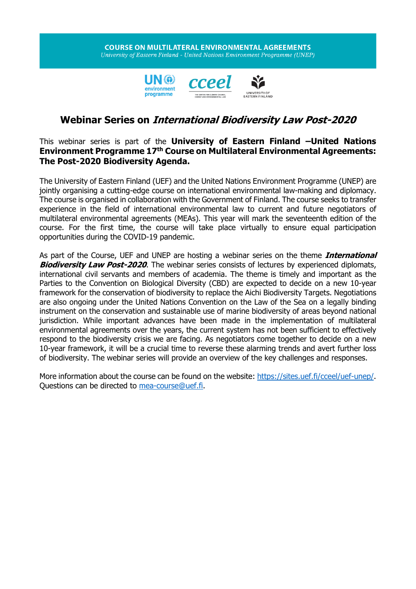## **COURSE ON MULTILATERAL ENVIRONMENTAL AGREEMENTS** University of Eastern Finland - United Nations Environment Programme (UNEP)





## **Webinar Series on International Biodiversity Law Post-2020**

## This webinar series is part of the **University of Eastern Finland –United Nations Environment Programme 17th Course on Multilateral Environmental Agreements: The Post-2020 Biodiversity Agenda.**

The University of Eastern Finland (UEF) and the United Nations Environment Programme (UNEP) are jointly organising a cutting-edge course on international environmental law-making and diplomacy. The course is organised in collaboration with the Government of Finland. The course seeks to transfer experience in the field of international environmental law to current and future negotiators of multilateral environmental agreements (MEAs). This year will mark the seventeenth edition of the course. For the first time, the course will take place virtually to ensure equal participation opportunities during the COVID-19 pandemic.

As part of the Course, UEF and UNEP are hosting a webinar series on the theme **International Biodiversity Law Post-2020**. The webinar series consists of lectures by experienced diplomats, international civil servants and members of academia. The theme is timely and important as the Parties to the Convention on Biological Diversity (CBD) are expected to decide on a new 10-year framework for the conservation of biodiversity to replace the Aichi Biodiversity Targets. Negotiations are also ongoing under the United Nations Convention on the Law of the Sea on a legally binding instrument on the conservation and sustainable use of marine biodiversity of areas beyond national jurisdiction. While important advances have been made in the implementation of multilateral environmental agreements over the years, the current system has not been sufficient to effectively respond to the biodiversity crisis we are facing. As negotiators come together to decide on a new 10-year framework, it will be a crucial time to reverse these alarming trends and avert further loss of biodiversity. The webinar series will provide an overview of the key challenges and responses.

More information about the course can be found on the website: [https://sites.uef.fi/cceel/uef-unep/.](https://sites.uef.fi/cceel/uef-unep/) Questions can be directed to [mea-course@uef.fi.](mailto:mea-course@uef.fi)